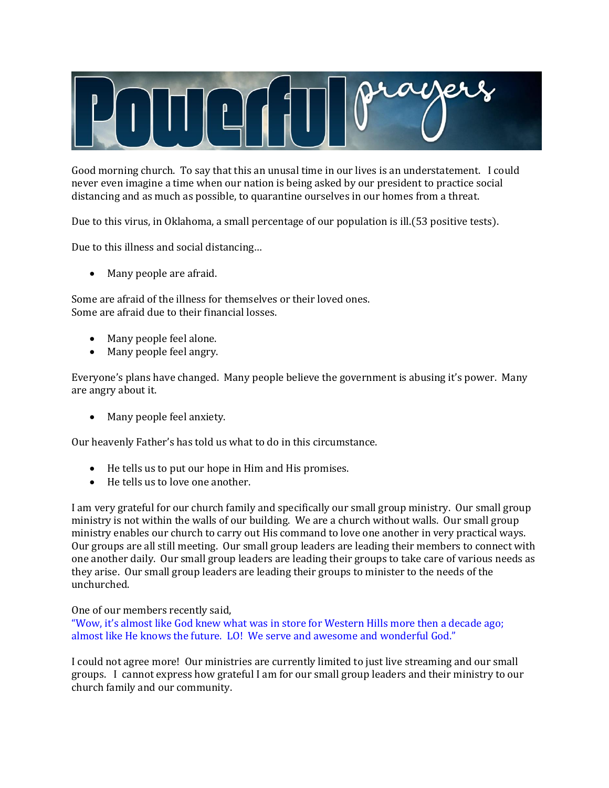

Good morning church. To say that this an unusal time in our lives is an understatement. I could never even imagine a time when our nation is being asked by our president to practice social distancing and as much as possible, to quarantine ourselves in our homes from a threat.

Due to this virus, in Oklahoma, a small percentage of our population is ill.(53 positive tests).

Due to this illness and social distancing…

• Many people are afraid.

Some are afraid of the illness for themselves or their loved ones. Some are afraid due to their financial losses.

- Many people feel alone.
- Many people feel angry.

Everyone's plans have changed. Many people believe the government is abusing it's power. Many are angry about it.

• Many people feel anxiety.

Our heavenly Father's has told us what to do in this circumstance.

- He tells us to put our hope in Him and His promises.
- He tells us to love one another.

I am very grateful for our church family and specifically our small group ministry. Our small group ministry is not within the walls of our building. We are a church without walls. Our small group ministry enables our church to carry out His command to love one another in very practical ways. Our groups are all still meeting. Our small group leaders are leading their members to connect with one another daily. Our small group leaders are leading their groups to take care of various needs as they arise. Our small group leaders are leading their groups to minister to the needs of the unchurched.

One of our members recently said,

"Wow, it's almost like God knew what was in store for Western Hills more then a decade ago; almost like He knows the future. LO! We serve and awesome and wonderful God."

I could not agree more! Our ministries are currently limited to just live streaming and our small groups. I cannot express how grateful I am for our small group leaders and their ministry to our church family and our community.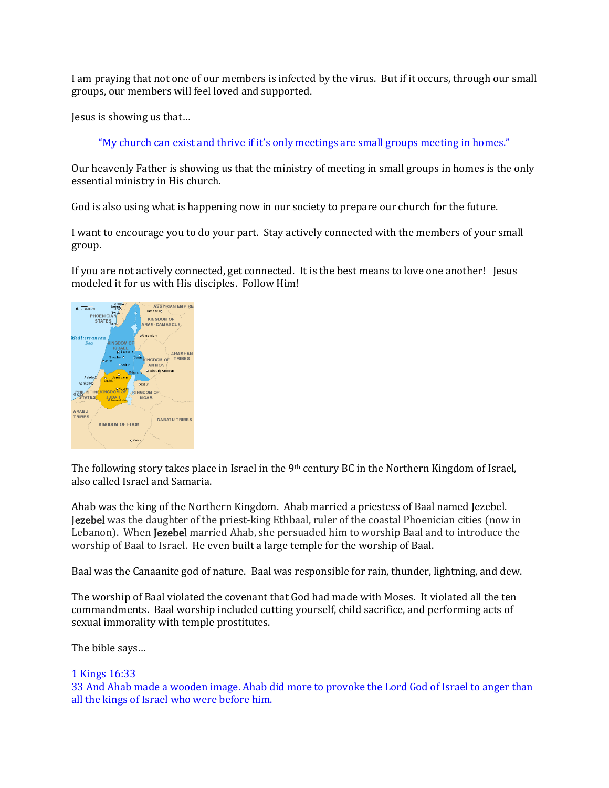I am praying that not one of our members is infected by the virus. But if it occurs, through our small groups, our members will feel loved and supported.

Jesus is showing us that…

"My church can exist and thrive if it's only meetings are small groups meeting in homes."

Our heavenly Father is showing us that the ministry of meeting in small groups in homes is the only essential ministry in His church.

God is also using what is happening now in our society to prepare our church for the future.

I want to encourage you to do your part. Stay actively connected with the members of your small group.

If you are not actively connected, get connected. It is the best means to love one another! Jesus modeled it for us with His disciples. Follow Him!



The following story takes place in Israel in the 9th century BC in the Northern Kingdom of Israel, also called Israel and Samaria.

Ahab was the king of the Northern Kingdom. Ahab married a priestess of Baal named Jezebel. Jezebel was the daughter of the priest-king Ethbaal, ruler of the coastal Phoenician cities (now in Lebanon). When Jezebel married Ahab, she persuaded him to worship Baal and to introduce the worship of Baal to Israel. He even built a large temple for the worship of Baal.

[Baal](https://en.wikipedia.org/wiki/Baal) was the Canaanite god of nature. Baal was responsible for rain, thunder, lightning, and dew.

The worship of Baal violated the covenant that God had made with Moses. It violated all the ten commandments. Baal worship included cutting yourself, child sacrifice, and performing acts of sexual immorality with temple prostitutes.

The bible says…

## 1 Kings 16:33

33 And Ahab made a wooden image. Ahab did more to provoke the Lord God of Israel to anger than all the kings of Israel who were before him.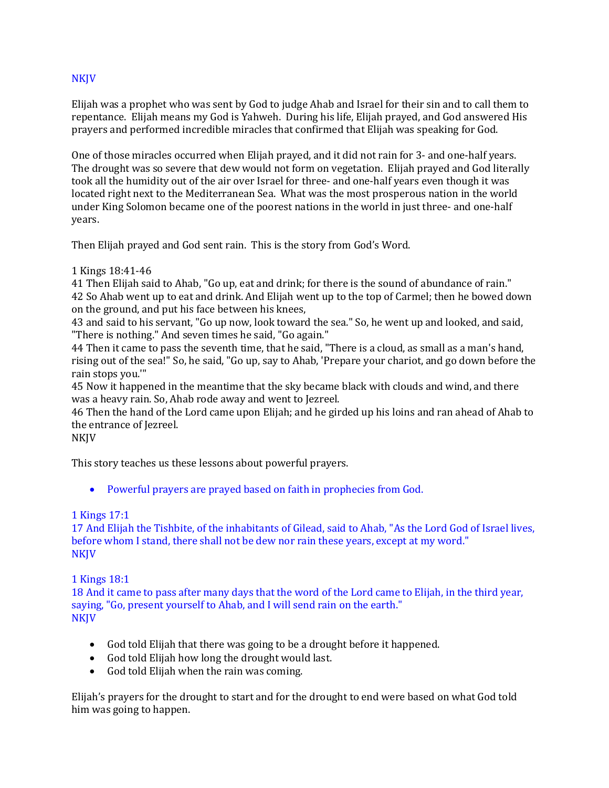## NKJV

Elijah was a prophet who was sent by God to judge Ahab and Israel for their sin and to call them to repentance. Elijah means my God is Yahweh. During his life, Elijah prayed, and God answered His prayers and performed incredible miracles that confirmed that Elijah was speaking for God.

One of those miracles occurred when Elijah prayed, and it did not rain for 3- and one-half years. The drought was so severe that dew would not form on vegetation. Elijah prayed and God literally took all the humidity out of the air over Israel for three- and one-half years even though it was located right next to the Mediterranean Sea. What was the most prosperous nation in the world under King Solomon became one of the poorest nations in the world in just three- and one-half years.

Then Elijah prayed and God sent rain. This is the story from God's Word.

#### 1 Kings 18:41-46

41 Then Elijah said to Ahab, "Go up, eat and drink; for there is the sound of abundance of rain." 42 So Ahab went up to eat and drink. And Elijah went up to the top of Carmel; then he bowed down on the ground, and put his face between his knees,

43 and said to his servant, "Go up now, look toward the sea." So, he went up and looked, and said, "There is nothing." And seven times he said, "Go again."

44 Then it came to pass the seventh time, that he said, "There is a cloud, as small as a man's hand, rising out of the sea!" So, he said, "Go up, say to Ahab, 'Prepare your chariot, and go down before the rain stops you.'"

45 Now it happened in the meantime that the sky became black with clouds and wind, and there was a heavy rain. So, Ahab rode away and went to Jezreel.

46 Then the hand of the Lord came upon Elijah; and he girded up his loins and ran ahead of Ahab to the entrance of Jezreel.

NKJV

This story teaches us these lessons about powerful prayers.

• Powerful prayers are prayed based on faith in prophecies from God.

## 1 Kings 17:1

17 And Elijah the Tishbite, of the inhabitants of Gilead, said to Ahab, "As the Lord God of Israel lives, before whom I stand, there shall not be dew nor rain these years, except at my word." NKJV

## 1 Kings 18:1

18 And it came to pass after many days that the word of the Lord came to Elijah, in the third year, saying, "Go, present yourself to Ahab, and I will send rain on the earth." **NKJV** 

- God told Elijah that there was going to be a drought before it happened.
- God told Elijah how long the drought would last.
- God told Elijah when the rain was coming.

Elijah's prayers for the drought to start and for the drought to end were based on what God told him was going to happen.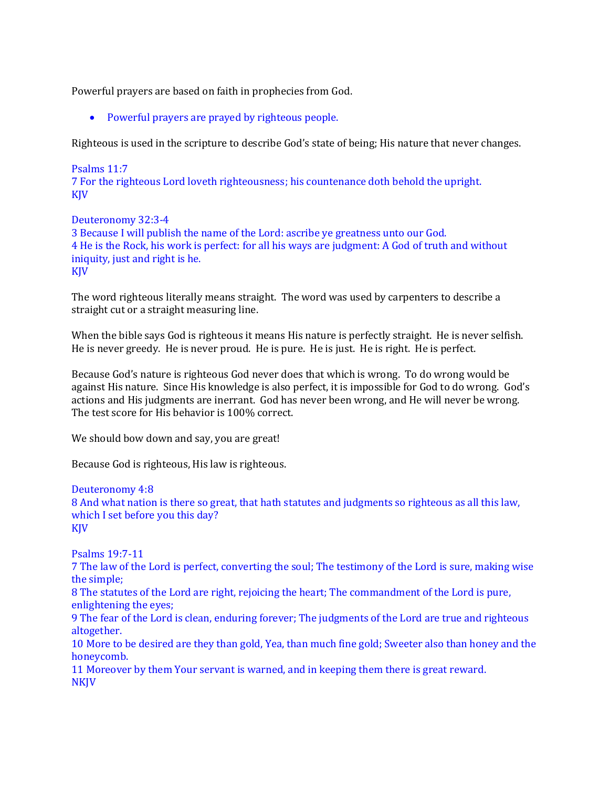Powerful prayers are based on faith in prophecies from God.

• Powerful prayers are prayed by righteous people.

Righteous is used in the scripture to describe God's state of being; His nature that never changes.

## Psalms 11:7 7 For the righteous Lord loveth righteousness; his countenance doth behold the upright. KJV

Deuteronomy 32:3-4 3 Because I will publish the name of the Lord: ascribe ye greatness unto our God. 4 He is the Rock, his work is perfect: for all his ways are judgment: A God of truth and without iniquity, just and right is he. KJV

The word righteous literally means straight. The word was used by carpenters to describe a straight cut or a straight measuring line.

When the bible says God is righteous it means His nature is perfectly straight. He is never selfish. He is never greedy. He is never proud. He is pure. He is just. He is right. He is perfect.

Because God's nature is righteous God never does that which is wrong. To do wrong would be against His nature. Since His knowledge is also perfect, it is impossible for God to do wrong. God's actions and His judgments are inerrant. God has never been wrong, and He will never be wrong. The test score for His behavior is 100% correct.

We should bow down and say, you are great!

Because God is righteous, His law is righteous.

### Deuteronomy 4:8 8 And what nation is there so great, that hath statutes and judgments so righteous as all this law, which I set before you this day? KJV

Psalms 19:7-11

7 The law of the Lord is perfect, converting the soul; The testimony of the Lord is sure, making wise the simple;

8 The statutes of the Lord are right, rejoicing the heart; The commandment of the Lord is pure, enlightening the eyes;

9 The fear of the Lord is clean, enduring forever; The judgments of the Lord are true and righteous altogether.

10 More to be desired are they than gold, Yea, than much fine gold; Sweeter also than honey and the honeycomb.

11 Moreover by them Your servant is warned, and in keeping them there is great reward. NKJV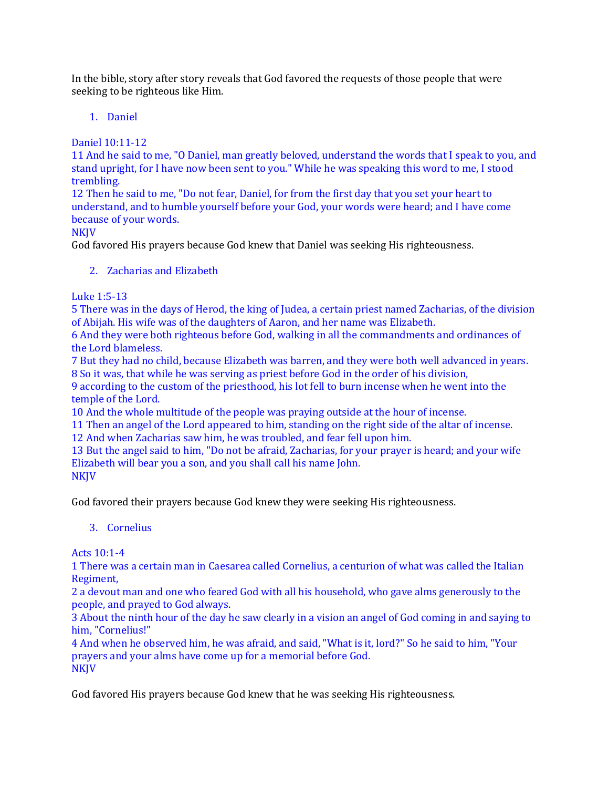In the bible, story after story reveals that God favored the requests of those people that were seeking to be righteous like Him.

## 1. Daniel

Daniel 10:11-12

11 And he said to me, "O Daniel, man greatly beloved, understand the words that I speak to you, and stand upright, for I have now been sent to you." While he was speaking this word to me, I stood trembling.

12 Then he said to me, "Do not fear, Daniel, for from the first day that you set your heart to understand, and to humble yourself before your God, your words were heard; and I have come because of your words.

## **NKJV**

God favored His prayers because God knew that Daniel was seeking His righteousness.

2. Zacharias and Elizabeth

Luke 1:5-13

5 There was in the days of Herod, the king of Judea, a certain priest named Zacharias, of the division of Abijah. His wife was of the daughters of Aaron, and her name was Elizabeth.

6 And they were both righteous before God, walking in all the commandments and ordinances of the Lord blameless.

7 But they had no child, because Elizabeth was barren, and they were both well advanced in years. 8 So it was, that while he was serving as priest before God in the order of his division,

9 according to the custom of the priesthood, his lot fell to burn incense when he went into the temple of the Lord.

10 And the whole multitude of the people was praying outside at the hour of incense.

11 Then an angel of the Lord appeared to him, standing on the right side of the altar of incense. 12 And when Zacharias saw him, he was troubled, and fear fell upon him.

13 But the angel said to him, "Do not be afraid, Zacharias, for your prayer is heard; and your wife Elizabeth will bear you a son, and you shall call his name John. NKJV

God favored their prayers because God knew they were seeking His righteousness.

## 3. Cornelius

Acts 10:1-4

1 There was a certain man in Caesarea called Cornelius, a centurion of what was called the Italian Regiment,

2 a devout man and one who feared God with all his household, who gave alms generously to the people, and prayed to God always.

3 About the ninth hour of the day he saw clearly in a vision an angel of God coming in and saying to him, "Cornelius!"

4 And when he observed him, he was afraid, and said, "What is it, lord?" So he said to him, "Your prayers and your alms have come up for a memorial before God. **NKJV** 

God favored His prayers because God knew that he was seeking His righteousness.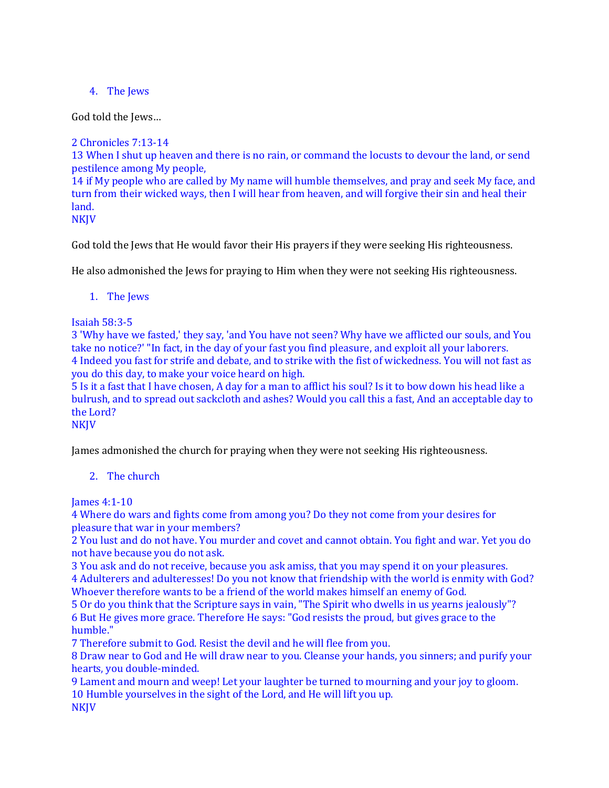# 4. The Jews

God told the Jews…

2 Chronicles 7:13-14

13 When I shut up heaven and there is no rain, or command the locusts to devour the land, or send pestilence among My people,

14 if My people who are called by My name will humble themselves, and pray and seek My face, and turn from their wicked ways, then I will hear from heaven, and will forgive their sin and heal their land.

**NKJV** 

God told the Jews that He would favor their His prayers if they were seeking His righteousness.

He also admonished the Jews for praying to Him when they were not seeking His righteousness.

1. The Jews

Isaiah 58:3-5

3 'Why have we fasted,' they say, 'and You have not seen? Why have we afflicted our souls, and You take no notice?' "In fact, in the day of your fast you find pleasure, and exploit all your laborers. 4 Indeed you fast for strife and debate, and to strike with the fist of wickedness. You will not fast as you do this day, to make your voice heard on high.

5 Is it a fast that I have chosen, A day for a man to afflict his soul? Is it to bow down his head like a bulrush, and to spread out sackcloth and ashes? Would you call this a fast, And an acceptable day to the Lord?

**NKJV** 

James admonished the church for praying when they were not seeking His righteousness.

# 2. The church

James 4:1-10

4 Where do wars and fights come from among you? Do they not come from your desires for pleasure that war in your members?

2 You lust and do not have. You murder and covet and cannot obtain. You fight and war. Yet you do not have because you do not ask.

3 You ask and do not receive, because you ask amiss, that you may spend it on your pleasures.

4 Adulterers and adulteresses! Do you not know that friendship with the world is enmity with God? Whoever therefore wants to be a friend of the world makes himself an enemy of God.

5 Or do you think that the Scripture says in vain, "The Spirit who dwells in us yearns jealously"? 6 But He gives more grace. Therefore He says: "God resists the proud, but gives grace to the humble."

7 Therefore submit to God. Resist the devil and he will flee from you.

8 Draw near to God and He will draw near to you. Cleanse your hands, you sinners; and purify your hearts, you double-minded.

9 Lament and mourn and weep! Let your laughter be turned to mourning and your joy to gloom. 10 Humble yourselves in the sight of the Lord, and He will lift you up. NKJV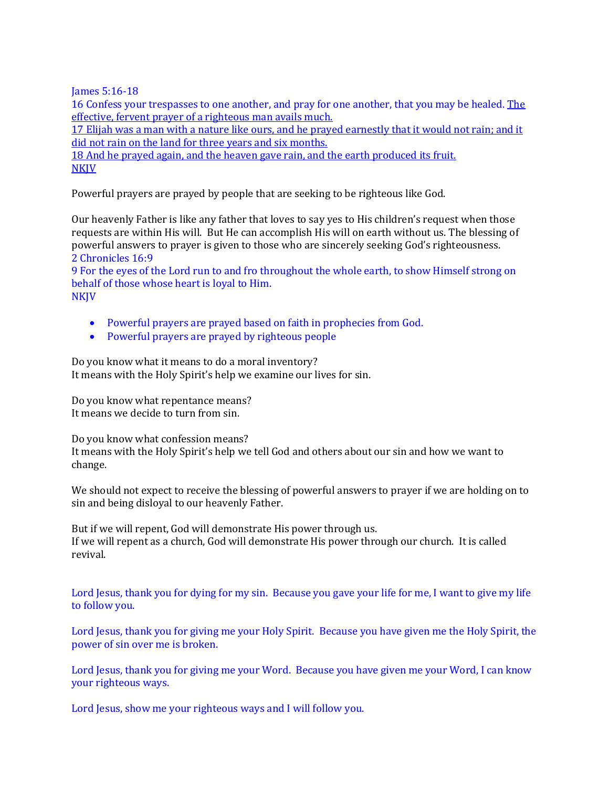James 5:16-18

16 Confess your trespasses to one another, and pray for one another, that you may be healed. The effective, fervent prayer of a righteous man avails much.

17 Elijah was a man with a nature like ours, and he prayed earnestly that it would not rain; and it did not rain on the land for three years and six months.

18 And he prayed again, and the heaven gave rain, and the earth produced its fruit. **NKJV** 

Powerful prayers are prayed by people that are seeking to be righteous like God.

Our heavenly Father is like any father that loves to say yes to His children's request when those requests are within His will. But He can accomplish His will on earth without us. The blessing of powerful answers to prayer is given to those who are sincerely seeking God's righteousness. 2 Chronicles 16:9

9 For the eyes of the Lord run to and fro throughout the whole earth, to show Himself strong on behalf of those whose heart is loyal to Him. **NKJV** 

- Powerful prayers are prayed based on faith in prophecies from God.
- Powerful prayers are prayed by righteous people

Do you know what it means to do a moral inventory? It means with the Holy Spirit's help we examine our lives for sin.

Do you know what repentance means? It means we decide to turn from sin.

Do you know what confession means? It means with the Holy Spirit's help we tell God and others about our sin and how we want to change.

We should not expect to receive the blessing of powerful answers to prayer if we are holding on to sin and being disloyal to our heavenly Father.

But if we will repent, God will demonstrate His power through us. If we will repent as a church, God will demonstrate His power through our church. It is called revival.

Lord Jesus, thank you for dying for my sin. Because you gave your life for me, I want to give my life to follow you.

Lord Jesus, thank you for giving me your Holy Spirit. Because you have given me the Holy Spirit, the power of sin over me is broken.

Lord Jesus, thank you for giving me your Word. Because you have given me your Word, I can know your righteous ways.

Lord Jesus, show me your righteous ways and I will follow you.